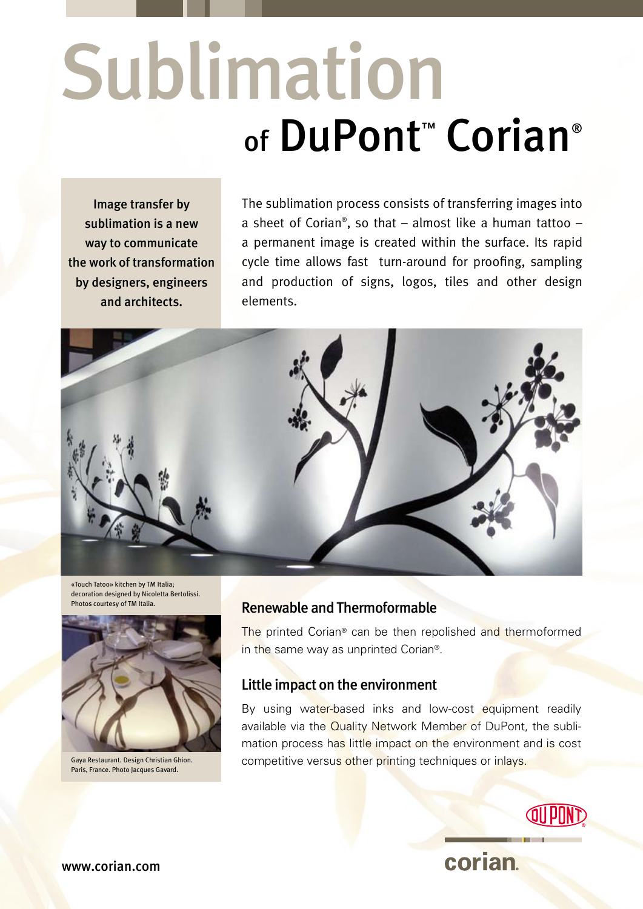# of DuPont<sup>™</sup> Corian® Sublimation

Image transfer by sublimation is a new way to communicate the work of transformation by designers, engineers and architects.

The sublimation process consists of transferring images into a sheet of Corian® , so that – almost like a human tattoo – a permanent image is created within the surface. Its rapid cycle time allows fast turn-around for proofing, sampling and production of signs, logos, tiles and other design elements.



«Touch Tatoo» kitchen by TM Italia; decoration designed by Nicoletta Bertolissi. Photos courtesy of TM Italia.



Gaya Restaurant. Design Christian Ghion. Paris, France. Photo Jacques Gavard.

### Renewable and Thermoformable

The printed Corian® can be then repolished and thermoformed in the same way as unprinted Corian®.

### Little impact on the environment

By using water-based inks and low-cost equipment readily available via the Quality Network Member of DuPont, the sublimation process has little impact on the environment and is cost competitive versus other printing techniques or inlays.



corian